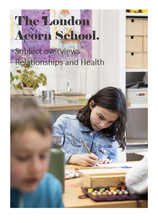## The London Acorn School.

Subject overviews Relationships and Health

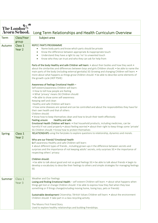| <b>The London</b> | <b>Acorn School.</b> | Long Term Relationships and Health Curriculum Overview                                                                                                                                                                                                                                                                                                                                                                                            |  |  |
|-------------------|----------------------|---------------------------------------------------------------------------------------------------------------------------------------------------------------------------------------------------------------------------------------------------------------------------------------------------------------------------------------------------------------------------------------------------------------------------------------------------|--|--|
| <b>Term</b>       | Class/Year           | Subject area                                                                                                                                                                                                                                                                                                                                                                                                                                      |  |  |
|                   | group                |                                                                                                                                                                                                                                                                                                                                                                                                                                                   |  |  |
| Autumn            | Class 1              | <b>NSPCC PANTS PROGRAMME</b>                                                                                                                                                                                                                                                                                                                                                                                                                      |  |  |
|                   | Year 2               | Name body parts and know which parts should be private                                                                                                                                                                                                                                                                                                                                                                                            |  |  |
|                   |                      | Know the difference between appropriate & inappropriate touch<br>$\bullet$                                                                                                                                                                                                                                                                                                                                                                        |  |  |
|                   |                      | Understand they have a right to say 'no' to unwanted touch<br>$\bullet$                                                                                                                                                                                                                                                                                                                                                                           |  |  |
|                   |                      | Know who they can trust and who they can ask for help from<br>$\bullet$                                                                                                                                                                                                                                                                                                                                                                           |  |  |
|                   |                      | Parts of the body Healthy and safe Children will learn: • about their bodies and how they work •<br>about the similarities and differences between boys and girls Children should: • be able to name the<br>main parts of the body (including external genitalia) SG Growing and changing Children will learn: •<br>more about what happens as things grow Children should: • be able to describe some elements of<br>the growth cycle (HEP PSHE) |  |  |
|                   |                      | Awareness of feelings Emotional Health -                                                                                                                                                                                                                                                                                                                                                                                                          |  |  |
|                   |                      | Self esteem/awareness Children will learn:                                                                                                                                                                                                                                                                                                                                                                                                        |  |  |
|                   |                      | . How to tell how people are feeling                                                                                                                                                                                                                                                                                                                                                                                                              |  |  |
|                   |                      | . What 'privacy' means SG Children should:                                                                                                                                                                                                                                                                                                                                                                                                        |  |  |
|                   |                      | • Be able to show some self-awareness<br>Keeping well and clean                                                                                                                                                                                                                                                                                                                                                                                   |  |  |
|                   |                      | Healthy and safe Children will learn:                                                                                                                                                                                                                                                                                                                                                                                                             |  |  |
|                   |                      | • how some diseases are spread and can be controlled and about the responsibilities they have for                                                                                                                                                                                                                                                                                                                                                 |  |  |
|                   |                      | their own health and that of others                                                                                                                                                                                                                                                                                                                                                                                                               |  |  |
|                   |                      | Children should:                                                                                                                                                                                                                                                                                                                                                                                                                                  |  |  |
|                   |                      | • know how to keep themselves clean and how to brush their teeth effectively                                                                                                                                                                                                                                                                                                                                                                      |  |  |
|                   |                      | Healthy and safe<br>Feeling unsure<br>Emotional Health Children will learn: • that household products, including medicines, can be                                                                                                                                                                                                                                                                                                                |  |  |
|                   |                      | harmful if not used properly • about feeling worried • about their right to keep things some 'private'                                                                                                                                                                                                                                                                                                                                            |  |  |
|                   |                      | SG Children should: • know how to protect themselves                                                                                                                                                                                                                                                                                                                                                                                              |  |  |
| <b>Spring</b>     | Class 1              | RELATIONSHIPS using the fairytales to explore questions to relationship, dynamics and morals.                                                                                                                                                                                                                                                                                                                                                     |  |  |
|                   | Year <sub>2</sub>    |                                                                                                                                                                                                                                                                                                                                                                                                                                                   |  |  |
|                   |                      | Who are our friends? Emotional Health                                                                                                                                                                                                                                                                                                                                                                                                             |  |  |
|                   |                      | Self awareness Healthy and safe Children will learn:<br>• about different types of friends, including grown-ups • the difference between secrets and                                                                                                                                                                                                                                                                                              |  |  |
|                   |                      | surprises and the importance of not keeping adults' secrets, only surprises SG • the importance of                                                                                                                                                                                                                                                                                                                                                |  |  |
|                   |                      | respecting others' privacy                                                                                                                                                                                                                                                                                                                                                                                                                        |  |  |
|                   |                      |                                                                                                                                                                                                                                                                                                                                                                                                                                                   |  |  |
|                   |                      | Children should:                                                                                                                                                                                                                                                                                                                                                                                                                                  |  |  |
|                   |                      | • be able to talk about good and not so good feelings SG • be able to talk about friends • begin to<br>develop a vocabulary to describe their feelings to others and simple strategies for managing feelings                                                                                                                                                                                                                                      |  |  |
|                   |                      | SG                                                                                                                                                                                                                                                                                                                                                                                                                                                |  |  |
| Summer            | Class 1              | Weather and Our Feelings                                                                                                                                                                                                                                                                                                                                                                                                                          |  |  |
|                   | Year 3               | Losing and finding Emotional Health - self esteem Children will learn: • about what happens when                                                                                                                                                                                                                                                                                                                                                  |  |  |
|                   |                      | things get lost or change Children should: • be able to express how they feel when they lose<br>something or if things change(including moving home, losing toys, pets or friends)                                                                                                                                                                                                                                                                |  |  |
|                   |                      | Sustainable development Citizenship / British Values Children will learn: • about the environment<br>Children should: • take part in a class recycling activity                                                                                                                                                                                                                                                                                   |  |  |
|                   |                      | The Moons First Friend Story<br>Used to explore healthy relationships and building friendships.                                                                                                                                                                                                                                                                                                                                                   |  |  |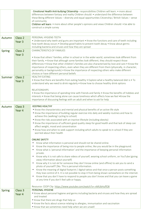|               |                    | - Emotional Health Anti-bullying Citizenship - responsibilities Children will learn: • more about<br>differences between fantasy and reality Children should: • understand the difference between<br>these Being different Values - diversity and equal opportunities Citizenship / British Values - sense<br>of community<br>Children will learn: • more about other people's opinions and views Children should: • be able to<br>construct a simple survey                                                                                               |
|---------------|--------------------|------------------------------------------------------------------------------------------------------------------------------------------------------------------------------------------------------------------------------------------------------------------------------------------------------------------------------------------------------------------------------------------------------------------------------------------------------------------------------------------------------------------------------------------------------------|
| Autumn        | Class <sub>2</sub> | PERSONAL HYGIENE-TEETH                                                                                                                                                                                                                                                                                                                                                                                                                                                                                                                                     |
|               | Year <sub>3</sub>  | • Understand why teeth and gums are important • Know the functions and care of teeth including<br>how tooth decay occurs . Develop good habits to prevent tooth decay . Know about germs<br>including bacteria and viruses and how they are spread                                                                                                                                                                                                                                                                                                         |
| <b>Spring</b> | Class <sub>2</sub> | <b>CHARACTERISTICS OF FAMILIES</b>                                                                                                                                                                                                                                                                                                                                                                                                                                                                                                                         |
|               | Year <sub>3</sub>  | . Know that others' families, either in school or in the wider world, sometimes look different from<br>their family. • Know that although some families look different, they should respect those<br>differences • Know that other children's families are also characterised by love and care • Know the<br>importance of respecting others, even when they are different from them (physically, in character,<br>personality or backgrounds) • Know the importance of respecting others who make different<br>choices or have different personal beliefs |
| Summer        | Class <sub>2</sub> | <b>HEALTHY EATING</b>                                                                                                                                                                                                                                                                                                                                                                                                                                                                                                                                      |
|               | Year <sub>3</sub>  | . Know that there are benefits from eating healthy . Explore what a healthy balanced diet is . To<br>understand why we need to drink regularly . Know how to choose healthy drink options                                                                                                                                                                                                                                                                                                                                                                  |
|               |                    | <b>RELATIONSHIPS</b>                                                                                                                                                                                                                                                                                                                                                                                                                                                                                                                                       |
|               |                    | . Know the importance of spending time with friends and family . Know the benefits of hobbies and                                                                                                                                                                                                                                                                                                                                                                                                                                                          |
|               |                    | interests • Know that being alone can cause loneliness which affects how we feel • Know the<br>importance of discussing feelings with an adult and when to ask for help                                                                                                                                                                                                                                                                                                                                                                                    |
| Autumn        | Class 3            | <b>KEEPING HEALTHY</b>                                                                                                                                                                                                                                                                                                                                                                                                                                                                                                                                     |
|               | Year 4             | . Know the characteristics and mental and physical benefits of an active life style                                                                                                                                                                                                                                                                                                                                                                                                                                                                        |
|               |                    | . Know the importance of building regular exercise into daily and weekly routines and how to<br>achieve this (walking/ cycling to school)                                                                                                                                                                                                                                                                                                                                                                                                                  |
|               |                    | • Know the risks associated with an inactive lifestyle (including obesity)                                                                                                                                                                                                                                                                                                                                                                                                                                                                                 |
|               |                    | • Know the importance of sufficient good quality sleep for good health and that lack of sleep can<br>affect weight, mood and concentration                                                                                                                                                                                                                                                                                                                                                                                                                 |
|               |                    | . Know how and when to seek support including which adults to speak to in school if they are<br>worried about their health                                                                                                                                                                                                                                                                                                                                                                                                                                 |
|               |                    | <b>ONLINE SAFETY</b>                                                                                                                                                                                                                                                                                                                                                                                                                                                                                                                                       |
|               |                    | Know what information is personal and should not be shared online.<br>$\bullet$                                                                                                                                                                                                                                                                                                                                                                                                                                                                            |
|               |                    | Know the importance of being nice to people online, like you would be in the playground.<br>$\bullet$                                                                                                                                                                                                                                                                                                                                                                                                                                                      |
|               |                    | Know what is 'personal information' and the importance of keeping personal information<br>$\bullet$                                                                                                                                                                                                                                                                                                                                                                                                                                                        |
|               |                    | private.<br>Know why it is not safe to share videos of yourself, wearing school uniform, on YouTube (giving<br>$\bullet$                                                                                                                                                                                                                                                                                                                                                                                                                                   |
|               |                    | away information about yourself)                                                                                                                                                                                                                                                                                                                                                                                                                                                                                                                           |
|               |                    | Know why it is not ok for someone they don't know online (and offline) to ask you to send a<br>$\bullet$<br>photo of yourself? [No. This is personal information.                                                                                                                                                                                                                                                                                                                                                                                          |
|               |                    | Know the meaning of digital footprint / digital tattoo and that once a person posts something<br>$\bullet$<br>they lose control of it. It is not possible to stop it from being shown somewhere on the internet.                                                                                                                                                                                                                                                                                                                                           |
|               |                    | Know that you don't have to respond to people you don't know and that you can leave a game<br>$\bullet$<br>at any time if you don't feel safe or happy.                                                                                                                                                                                                                                                                                                                                                                                                    |
|               |                    | Resource: CEOP Clip https://www.youtube.com/watch?v=-nMUbHuffO8                                                                                                                                                                                                                                                                                                                                                                                                                                                                                            |
| <b>Spring</b> | Class <sub>3</sub> | PERSONAL HYGIENE                                                                                                                                                                                                                                                                                                                                                                                                                                                                                                                                           |
|               | Year 4             | • Know about personal hygiene and germs including bacteria and viruses and how they are spread<br>and treated                                                                                                                                                                                                                                                                                                                                                                                                                                              |
|               |                    | . Know that there are drugs that help us                                                                                                                                                                                                                                                                                                                                                                                                                                                                                                                   |
|               |                    | • Know the facts about science relating to allergies, immunisation and vaccination<br>. Know that we sometimes need help when we are unwell                                                                                                                                                                                                                                                                                                                                                                                                                |
|               |                    |                                                                                                                                                                                                                                                                                                                                                                                                                                                                                                                                                            |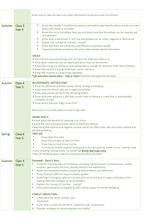|               |                              | Know how to raise the alarm and what information should be known and shared                                                                                                                                                                                                                                                                                                                                                                                                                                                                                                                                                                                                                                                                                                                                                                                                                                                                                                                                                                                                     |
|---------------|------------------------------|---------------------------------------------------------------------------------------------------------------------------------------------------------------------------------------------------------------------------------------------------------------------------------------------------------------------------------------------------------------------------------------------------------------------------------------------------------------------------------------------------------------------------------------------------------------------------------------------------------------------------------------------------------------------------------------------------------------------------------------------------------------------------------------------------------------------------------------------------------------------------------------------------------------------------------------------------------------------------------------------------------------------------------------------------------------------------------|
| Summer        | Class 3<br>Year 4            | Know that healthy friendships are positive and welcoming towards others and do not make<br>$\bullet$<br>others feel lonely or excluded<br>Know that most friendships have ups and downs and that friendships can be repaired and<br>$\bullet$<br>strengthened<br>Know what a stereotype is, and how stereotypes can be unfair, negative or destructive<br>$\bullet$<br>Explore the concept of 'real boy', 'real girl'<br>$\bullet$<br>Know that there are similarities and differences between people<br>$\bullet$<br>Support and show acceptance for what makes people special and unique<br>$\bullet$<br><b>DRUGS</b><br>Know that there are some things that can harm the body and make us ill<br>• Know when medicines can be helpful and when they can be harmful<br>• Know that a drug is a substance that people take to change the way they think, feel or behave<br>• Know that alcohol is a drug inside beer, spirits and wine<br>• Know that nicotine is a drug inside cigarettes<br>*Life education lessons plans - Help or Harm? Alcohols and Cigarettes the facts |
|               |                              | <b>RELATIONSHIPS- ANTI BULLYING</b>                                                                                                                                                                                                                                                                                                                                                                                                                                                                                                                                                                                                                                                                                                                                                                                                                                                                                                                                                                                                                                             |
| Autumn        | Class 4<br>Year <sub>5</sub> | . Know the difference between being unkind, teasing and bullying<br>. Know what the school rules are in regard to bullying<br>. Know what people can do if they are being bullied<br>• Know what peer pressure is and that it could make us behave in a way that is unacceptable,<br>unhealthy or risky<br>• Know where pressure might come from                                                                                                                                                                                                                                                                                                                                                                                                                                                                                                                                                                                                                                                                                                                                |
|               |                              | Know who to trust and where are how to get help<br><b>ONLINE SAFETY</b><br>• Know about the benefits of rationing time online<br>• Know the risks of excessive time spent on electronic devices                                                                                                                                                                                                                                                                                                                                                                                                                                                                                                                                                                                                                                                                                                                                                                                                                                                                                 |
|               |                              | Understand that positive and negative content online can affect their own and others mental and<br>physical wellbeing                                                                                                                                                                                                                                                                                                                                                                                                                                                                                                                                                                                                                                                                                                                                                                                                                                                                                                                                                           |
| <b>Spring</b> | Class 4<br>Year 5            | <b>FIRST AID</b><br>Know what first aid is<br>Know the concepts of basic first aid<br>Know how to treat minor injuries<br>To know the 8 skills required to respond to first aid (asthma, bones, burns, choking, head<br>injury, bleeding, unresponsive, not breathing) British Red Cross Units<br>https://firstaidchampions.redcross.org.uk/primary/first-aid-skills/                                                                                                                                                                                                                                                                                                                                                                                                                                                                                                                                                                                                                                                                                                           |
| Summer        | Class 4<br>Year 5            | Stonewall - Danni's Story<br>Know the characteristics of friendships, including mutual respect, trustworthiness, loyalty,<br>kindness, generosity and trust, sharing interests and experiences.<br>Know that friendship involves supporting with problems and difficulties.<br>$\bullet$<br>Know there are different ways to express gender<br>$\bullet$<br>Know how to recognise who to trust and who not to and how to judge a friendship that is<br>$\bullet$<br>making them feel unhappy or uncomfortable.<br>Explore the concept of 'real boy', 'real girl'<br>$\bullet$<br>Know that bullying has a negative & often lasting impact on mental wellbeing<br>$\bullet$<br><b>CONFLICT RESOLUTION</b><br>Understand the terms 'conflict' and<br>٠<br>'resolution'<br>$\bullet$<br>Know what is meant by the terms 'negotiate' and' compromise'<br>Develop strategies to resolve disputes and conflict                                                                                                                                                                        |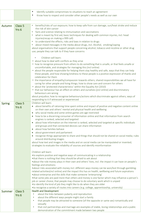|               |                                        | $\bullet$<br>Identify suitable compromises to situations to reach an agreement                                                                                                                                                                                                                                                                                                                                                                                                                                                                                                                                                                                                                                                                                                                                                                                                                                                                                                                                                                                                                                                                                                                                                                                                                                                                                                                                                                                                                             |
|---------------|----------------------------------------|------------------------------------------------------------------------------------------------------------------------------------------------------------------------------------------------------------------------------------------------------------------------------------------------------------------------------------------------------------------------------------------------------------------------------------------------------------------------------------------------------------------------------------------------------------------------------------------------------------------------------------------------------------------------------------------------------------------------------------------------------------------------------------------------------------------------------------------------------------------------------------------------------------------------------------------------------------------------------------------------------------------------------------------------------------------------------------------------------------------------------------------------------------------------------------------------------------------------------------------------------------------------------------------------------------------------------------------------------------------------------------------------------------------------------------------------------------------------------------------------------------|
|               |                                        | Know how to respect and consider other people's needs as well as our own<br>$\bullet$                                                                                                                                                                                                                                                                                                                                                                                                                                                                                                                                                                                                                                                                                                                                                                                                                                                                                                                                                                                                                                                                                                                                                                                                                                                                                                                                                                                                                      |
|               |                                        |                                                                                                                                                                                                                                                                                                                                                                                                                                                                                                                                                                                                                                                                                                                                                                                                                                                                                                                                                                                                                                                                                                                                                                                                                                                                                                                                                                                                                                                                                                            |
| Autumn        | Class <sub>5</sub><br>Yrs <sub>6</sub> | benefits/risks of sun exposure; how to keep safe from sun damage, sun/heat stroke and reduce<br>the risk of skin cancer<br>facts and science relating to immunisation and vaccinations<br>what is meant by first aid; basic techniques for dealing with common injuries, incl. head<br>injuries (recap on making a 999 call)<br>to understand the effects, risks and laws in relation to drugs<br>about mixed messages in the media about drugs, incl. Alcohol, smoking/vaping<br>about organisations that support people concerning alcohol, tobacco and nicotine or other drug<br>use; people they can talk to if they have concerns<br>Children will learn:<br>• about how to deal with conflicts as they arise<br>• how to recognise pressure from others to do something that is unsafe, or that feels unsafe or<br>uncomfortable, and strategies for managing this (incl online)<br>• about the people responsible for helping them stay healthy and safe, ways that they can help<br>these people, and how showing kindness to these people is a positive expression of thanks and<br>celebration for them<br>• the importance of empathy/compassion towards others; shared responsibilities we all have for<br>caring for other people and living things; how to show care and concern for others<br>• about the 'protected characteristics' within the Equality Act (2010)<br>• that our behaviour has an effect on others and ourselves (jncl online) and discriminatory<br>behaviours are wrong |
|               |                                        | about prejudice; how to recognise behaviours/actions which discriminate against others; ways of<br>responding to it if witnessed or experienced                                                                                                                                                                                                                                                                                                                                                                                                                                                                                                                                                                                                                                                                                                                                                                                                                                                                                                                                                                                                                                                                                                                                                                                                                                                                                                                                                            |
| <b>Spring</b> | Class 5<br>Yrs <sub>6</sub>            | Children will learn:<br>about benefits of rationing time spent online and impact of positive and negative content online<br>$\bullet$<br>on their own and others' mental and physical health and wellbeing<br>why social media and some online games are age restricted<br>how to be a discerning consumer of information online and that information from search<br>engines is ranked, selected and targeted<br>about how information on the internet is ranked, selected and targeted at specific individuals<br>and groups and that connected devices can share information<br>about how families behave<br>about government and parliament<br>recognise things appropriate to share and things that should not be shared on social media; rules<br>around distributing images<br>about how text and images in the media and on social media can be manipulated or invented;<br>strategies to evaluate the reliability of sources and identify misinformation                                                                                                                                                                                                                                                                                                                                                                                                                                                                                                                                           |
|               |                                        | Children will learn:<br>• to explore positive and negative ways of communicating in a relationship<br>•that there is nothing that they should be afraid to ask about<br>• about the role money plays in their own and others' lives, incl. the impact it can have on people's<br>feelings and emotions<br>• about risks associated with money incl. different ways money can be won/lost through gambling-<br>related activities(incl online) and the impact this has on health, wellbeing and future aspirations<br>• about enterprise and the skills that make someone 'enterprising'<br>•that some jobs are paid more than others and money is one factor which may influence a person's<br>job or career choice; that people may choose to do voluntary work which is unpaid<br>• to identify the kind of job they might like to do when they are older<br>• to recognise a variety of routes into careers (e.g. college, apprenticeship, university)                                                                                                                                                                                                                                                                                                                                                                                                                                                                                                                                                  |
| Summer        | Class <sub>5</sub><br>Yrs <sub>6</sub> | <b>Health and Development</b><br>about the links between puberty and reproduction<br>$\bullet$<br>about the different ways people might start a family<br>$\bullet$<br>that people may be attracted to someone (of the opposite or same sex) romantically and<br>$\bullet$<br>sexually<br>that civil partnerships and marriage are examples of stable, loving relationships and a public<br>$\bullet$<br>demonstration of the commitment made between two people                                                                                                                                                                                                                                                                                                                                                                                                                                                                                                                                                                                                                                                                                                                                                                                                                                                                                                                                                                                                                                           |